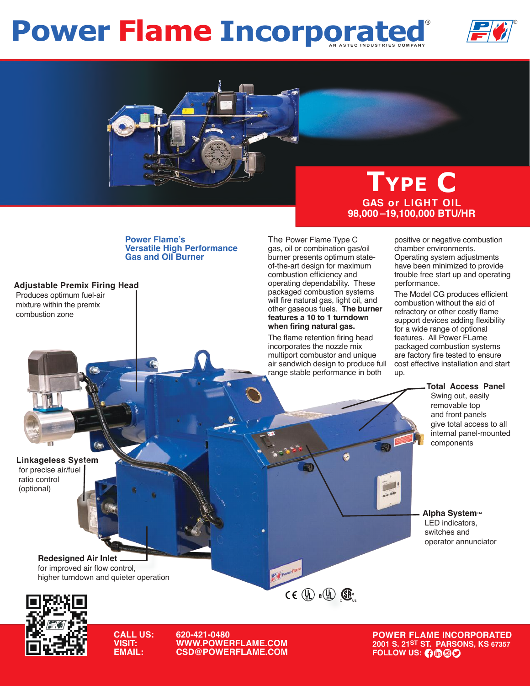## **Power Flame Incorporated**





## **Type C GAS or LIGHT OIL 98,000 –19,100,000 BTU/HR**

**Power Flame's Versatile High Performance Gas and Oil Burner**

**Adjustable Premix Firing Head** Produces optimum fuel-air mixture within the premix combustion zone

The Power Flame Type C gas, oil or combination gas/oil burner presents optimum stateof-the-art design for maximum combustion efficiency and operating dependability. These packaged combustion systems will fire natural gas, light oil, and other gaseous fuels. **The burner features a 10 to 1 turndown when firing natural gas.**

The flame retention firing head incorporates the nozzle mix multiport combustor and unique air sandwich design to produce full range stable performance in both

 $\ddot{\bullet}$ 

 $CE$  (De O  $CE$ 

 $e^{\mu}$ 

positive or negative combustion chamber environments. Operating system adjustments have been minimized to provide trouble free start up and operating performance.

The Model CG produces efficient combustion without the aid of refractory or other costly flame support devices adding flexibility for a wide range of optional features. All Power FLame packaged combustion systems are factory fire tested to ensure cost effective installation and start up.

**Total Access Panel**

 Swing out, easily removable top and front panels give total access to all internal panel-mounted components

**Alpha System™**  LED indicators, switches and operator annunciator

**Redesigned Air Inlet** for improved air flow control, higher turndown and quieter operation



**Linkageless System**  for precise air/fuel ratio control (optional)

**CALL US: 620-421-0480 VISIT: WWW.POWERFLAME.COM EXPAIL: COMAIL: COMAIL: COMAIL: COMAIL: COMAIL: COMAIL: COMAIL: COMAIL: COMAIL: COMAIL: COMAIL: COMAIL: COMAIL: COMAI** 

**POWER FLAME INCORPORATED 2001 S. 21ST ST. PARSONS, KS 67357**